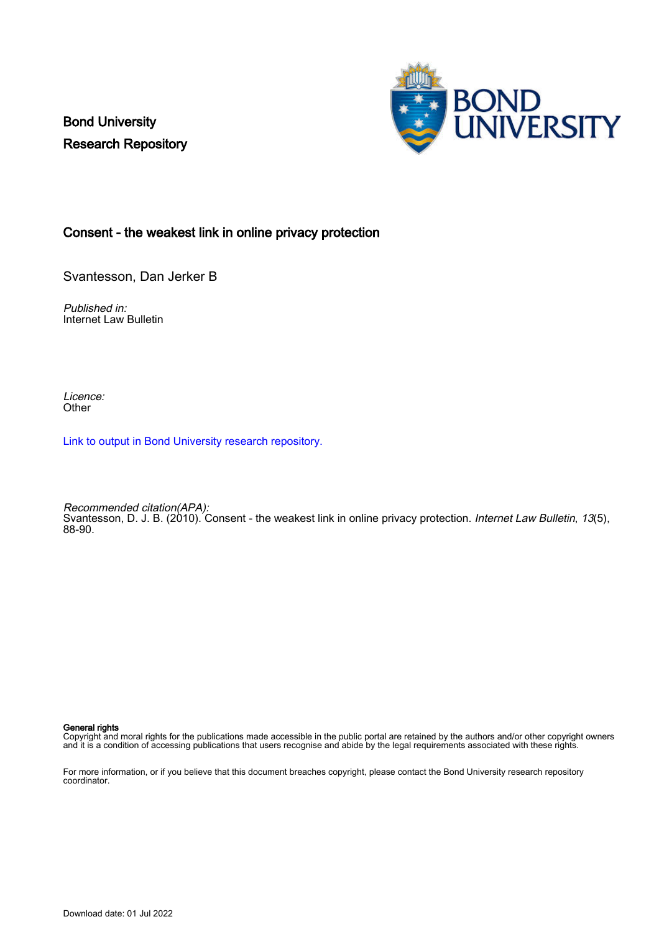Bond University Research Repository



### Consent - the weakest link in online privacy protection

Svantesson, Dan Jerker B

Published in: Internet Law Bulletin

Licence: **Other** 

[Link to output in Bond University research repository.](https://research.bond.edu.au/en/publications/02e082d6-0c0a-4b5a-bcf8-cc6f3d652188)

Recommended citation(APA): Svantesson, D. J. B. (2010). Consent - the weakest link in online privacy protection. Internet Law Bulletin, 13(5), 88-90.

General rights

Copyright and moral rights for the publications made accessible in the public portal are retained by the authors and/or other copyright owners and it is a condition of accessing publications that users recognise and abide by the legal requirements associated with these rights.

For more information, or if you believe that this document breaches copyright, please contact the Bond University research repository coordinator.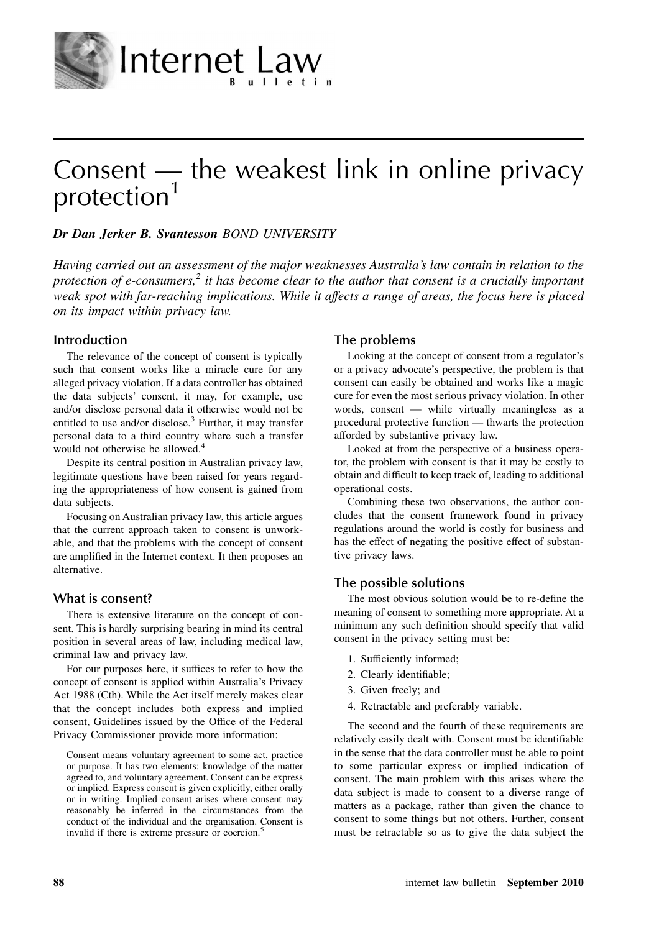

# Consent  $-$  the weakest link in online privacy protection<sup>1</sup>

### Dr Dan Jerker B. Svantesson BOND UNIVERSITY

Internet Law

Having carried out an assessment of the major weaknesses Australia's law contain in relation to the protection of e-consumers,<sup>2</sup> it has become clear to the author that consent is a crucially important weak spot with far-reaching implications. While it affects a range of areas, the focus here is placed on its impact within privacy law.

#### **Introduction**

The relevance of the concept of consent is typically such that consent works like a miracle cure for any alleged privacy violation. If a data controller has obtained the data subjects' consent, it may, for example, use and/or disclose personal data it otherwise would not be entitled to use and/or disclose.<sup>3</sup> Further, it may transfer personal data to a third country where such a transfer would not otherwise be allowed.<sup>4</sup>

Despite its central position in Australian privacy law, legitimate questions have been raised for years regarding the appropriateness of how consent is gained from data subjects.

Focusing on Australian privacy law, this article argues that the current approach taken to consent is unworkable, and that the problems with the concept of consent are amplified in the Internet context. It then proposes an alternative.

#### **What is consent?**

There is extensive literature on the concept of consent. This is hardly surprising bearing in mind its central position in several areas of law, including medical law, criminal law and privacy law.

For our purposes here, it suffices to refer to how the concept of consent is applied within Australia's Privacy Act 1988 (Cth). While the Act itself merely makes clear that the concept includes both express and implied consent, Guidelines issued by the Office of the Federal Privacy Commissioner provide more information:

Consent means voluntary agreement to some act, practice or purpose. It has two elements: knowledge of the matter agreed to, and voluntary agreement. Consent can be express or implied. Express consent is given explicitly, either orally or in writing. Implied consent arises where consent may reasonably be inferred in the circumstances from the conduct of the individual and the organisation. Consent is invalid if there is extreme pressure or coercion.

#### **The problems**

Looking at the concept of consent from a regulator's or a privacy advocate's perspective, the problem is that consent can easily be obtained and works like a magic cure for even the most serious privacy violation. In other words, consent — while virtually meaningless as a procedural protective function — thwarts the protection afforded by substantive privacy law.

Looked at from the perspective of a business operator, the problem with consent is that it may be costly to obtain and difficult to keep track of, leading to additional operational costs.

Combining these two observations, the author concludes that the consent framework found in privacy regulations around the world is costly for business and has the effect of negating the positive effect of substantive privacy laws.

#### **The possible solutions**

The most obvious solution would be to re-define the meaning of consent to something more appropriate. At a minimum any such definition should specify that valid consent in the privacy setting must be:

- 1. Sufficiently informed;
- 2. Clearly identifiable;
- 3. Given freely; and
- 4. Retractable and preferably variable.

The second and the fourth of these requirements are relatively easily dealt with. Consent must be identifiable in the sense that the data controller must be able to point to some particular express or implied indication of consent. The main problem with this arises where the data subject is made to consent to a diverse range of matters as a package, rather than given the chance to consent to some things but not others. Further, consent must be retractable so as to give the data subject the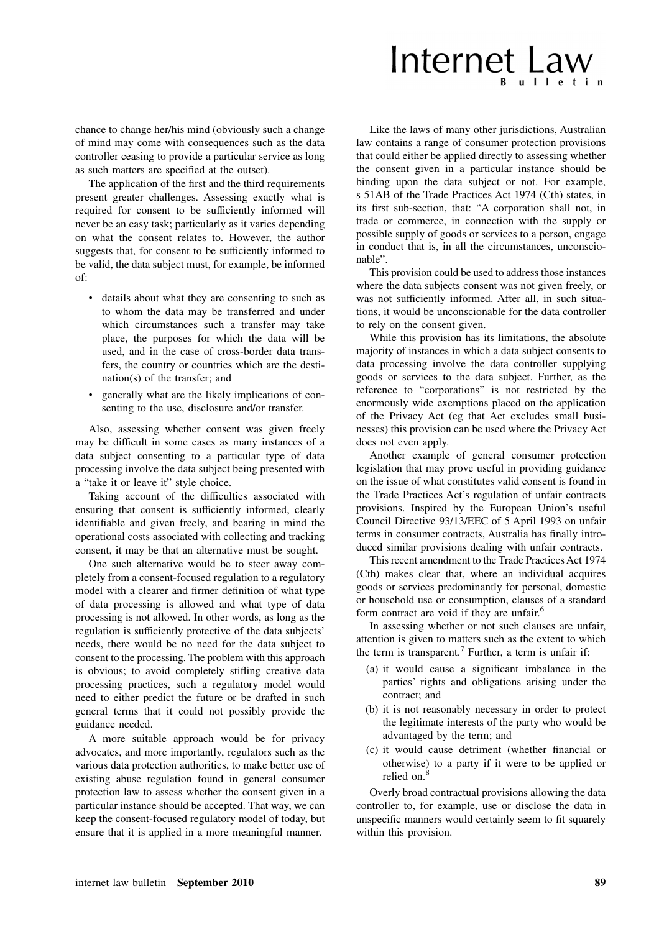# Internet Law

chance to change her/his mind (obviously such a change of mind may come with consequences such as the data controller ceasing to provide a particular service as long as such matters are specified at the outset).

The application of the first and the third requirements present greater challenges. Assessing exactly what is required for consent to be sufficiently informed will never be an easy task; particularly as it varies depending on what the consent relates to. However, the author suggests that, for consent to be sufficiently informed to be valid, the data subject must, for example, be informed of:

- details about what they are consenting to such as to whom the data may be transferred and under which circumstances such a transfer may take place, the purposes for which the data will be used, and in the case of cross-border data transfers, the country or countries which are the destination(s) of the transfer; and
- generally what are the likely implications of consenting to the use, disclosure and/or transfer.

Also, assessing whether consent was given freely may be difficult in some cases as many instances of a data subject consenting to a particular type of data processing involve the data subject being presented with a "take it or leave it" style choice.

Taking account of the difficulties associated with ensuring that consent is sufficiently informed, clearly identifiable and given freely, and bearing in mind the operational costs associated with collecting and tracking consent, it may be that an alternative must be sought.

One such alternative would be to steer away completely from a consent-focused regulation to a regulatory model with a clearer and firmer definition of what type of data processing is allowed and what type of data processing is not allowed. In other words, as long as the regulation is sufficiently protective of the data subjects' needs, there would be no need for the data subject to consent to the processing. The problem with this approach is obvious; to avoid completely stifling creative data processing practices, such a regulatory model would need to either predict the future or be drafted in such general terms that it could not possibly provide the guidance needed.

A more suitable approach would be for privacy advocates, and more importantly, regulators such as the various data protection authorities, to make better use of existing abuse regulation found in general consumer protection law to assess whether the consent given in a particular instance should be accepted. That way, we can keep the consent-focused regulatory model of today, but ensure that it is applied in a more meaningful manner.

Like the laws of many other jurisdictions, Australian law contains a range of consumer protection provisions that could either be applied directly to assessing whether the consent given in a particular instance should be binding upon the data subject or not. For example, s 51AB of the Trade Practices Act 1974 (Cth) states, in its first sub-section, that: "A corporation shall not, in trade or commerce, in connection with the supply or possible supply of goods or services to a person, engage in conduct that is, in all the circumstances, unconscionable".

This provision could be used to address those instances where the data subjects consent was not given freely, or was not sufficiently informed. After all, in such situations, it would be unconscionable for the data controller to rely on the consent given.

While this provision has its limitations, the absolute majority of instances in which a data subject consents to data processing involve the data controller supplying goods or services to the data subject. Further, as the reference to "corporations" is not restricted by the enormously wide exemptions placed on the application of the Privacy Act (eg that Act excludes small businesses) this provision can be used where the Privacy Act does not even apply.

Another example of general consumer protection legislation that may prove useful in providing guidance on the issue of what constitutes valid consent is found in the Trade Practices Act's regulation of unfair contracts provisions. Inspired by the European Union's useful Council Directive 93/13/EEC of 5 April 1993 on unfair terms in consumer contracts, Australia has finally introduced similar provisions dealing with unfair contracts.

This recent amendment to the Trade Practices Act 1974 (Cth) makes clear that, where an individual acquires goods or services predominantly for personal, domestic or household use or consumption, clauses of a standard form contract are void if they are unfair.<sup>6</sup>

In assessing whether or not such clauses are unfair, attention is given to matters such as the extent to which the term is transparent.<sup>7</sup> Further, a term is unfair if:

- (a) it would cause a significant imbalance in the parties' rights and obligations arising under the contract; and
- (b) it is not reasonably necessary in order to protect the legitimate interests of the party who would be advantaged by the term; and
- (c) it would cause detriment (whether financial or otherwise) to a party if it were to be applied or relied on.<sup>8</sup>

Overly broad contractual provisions allowing the data controller to, for example, use or disclose the data in unspecific manners would certainly seem to fit squarely within this provision.